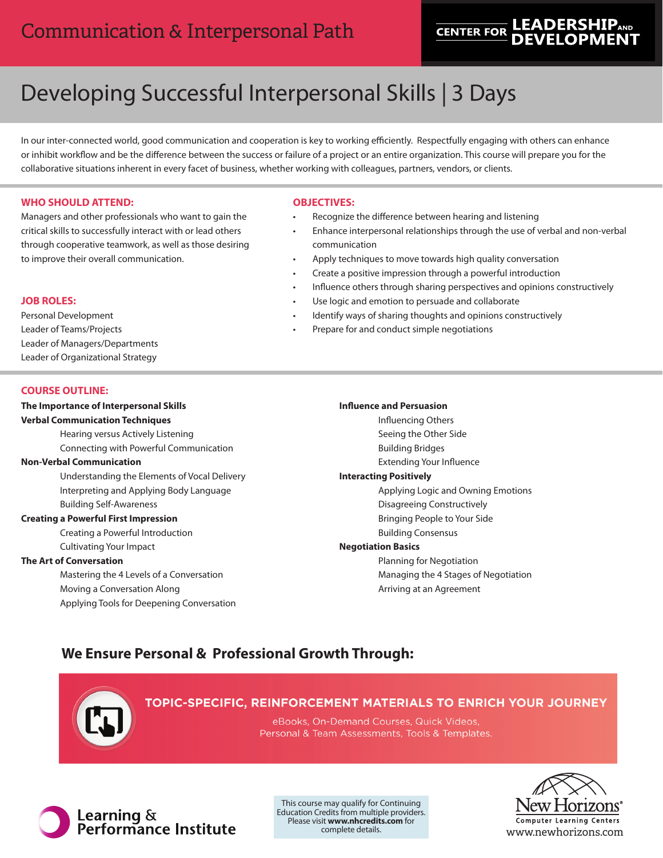# **LEADERSHIP**AND **CENTER FOR**

# Developing Successful Interpersonal Skills | 3 Days

In our inter-connected world, good communication and cooperation is key to working efficiently. Respectfully engaging with others can enhance or inhibit workflow and be the difference between the success or failure of a project or an entire organization. This course will prepare you for the collaborative situations inherent in every facet of business, whether working with colleagues, partners, vendors, or clients.

#### **WHO SHOULD ATTEND:**

Managers and other professionals who want to gain the critical skills to successfully interact with or lead others through cooperative teamwork, as well as those desiring to improve their overall communication.

#### **OBJECTIVES:**

- Recognize the difference between hearing and listening
- Enhance interpersonal relationships through the use of verbal and non-verbal communication
- Apply techniques to move towards high quality conversation
- Create a positive impression through a powerful introduction
- Influence others through sharing perspectives and opinions constructively
- Use logic and emotion to persuade and collaborate
- Identify ways of sharing thoughts and opinions constructively
- Prepare for and conduct simple negotiations

#### **COURSE OUTLINE:**

Personal Development Leader of Teams/Projects

Leader of Managers/Departments Leader of Organizational Strategy

**JOB ROLES:**

## **The Importance of Interpersonal Skills Verbal Communication Techniques**

Hearing versus Actively Listening Connecting with Powerful Communication

#### **Non-Verbal Communication**

Understanding the Elements of Vocal Delivery Interpreting and Applying Body Language Building Self-Awareness

#### **Creating a Powerful First Impression**

Creating a Powerful Introduction Cultivating Your Impact

#### **The Art of Conversation**

Mastering the 4 Levels of a Conversation Moving a Conversation Along Applying Tools for Deepening Conversation

#### **Influence and Persuasion**

Influencing Others Seeing the Other Side

- Building Bridges
- Extending Your Influence

## **Interacting Positively**

Applying Logic and Owning Emotions Disagreeing Constructively

- Bringing People to Your Side
- Building Consensus

#### **Negotiation Basics**

Planning for Negotiation Managing the 4 Stages of Negotiation Arriving at an Agreement

## **We Ensure Personal & Professional Growth Through:**



### TOPIC-SPECIFIC, REINFORCEMENT MATERIALS TO ENRICH YOUR JOURNEY

eBooks, On-Demand Courses, Quick Videos, Personal & Team Assessments, Tools & Templates.



This course may qualify for Continuing Education Credits from multiple providers. Please visit **www.nhcredits.com** for complete details.